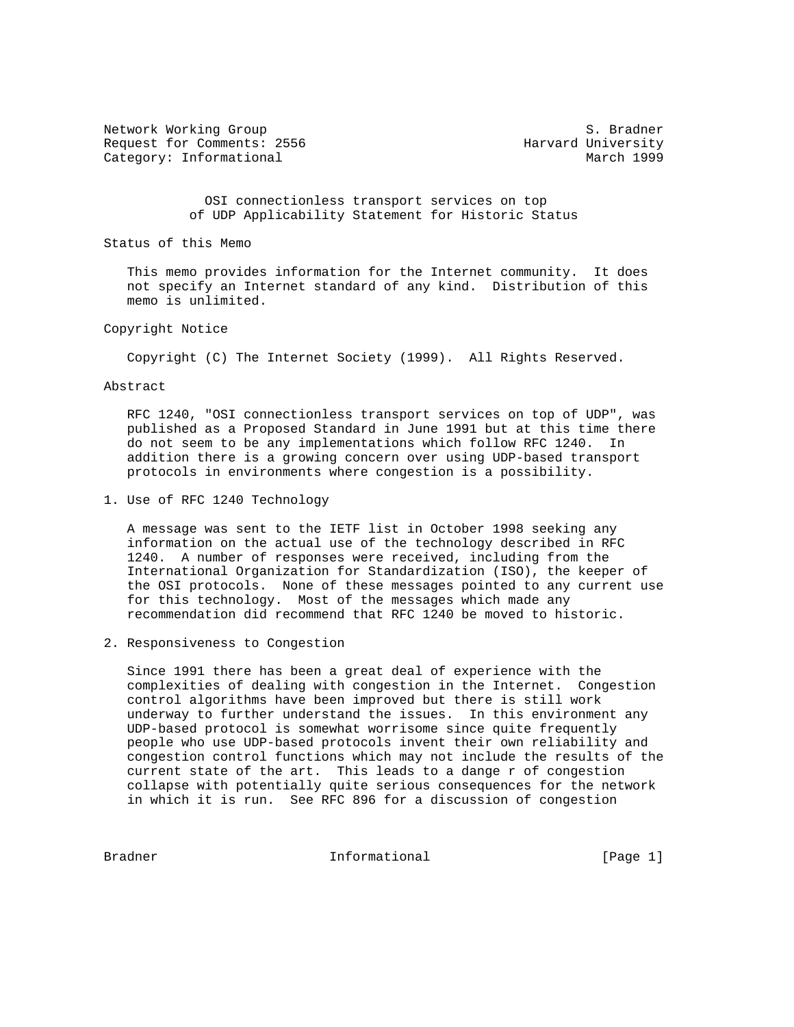Network Working Group S. Bradner Request for Comments: 2556 Harvard University Category: Informational and March 1999

 OSI connectionless transport services on top of UDP Applicability Statement for Historic Status

Status of this Memo

 This memo provides information for the Internet community. It does not specify an Internet standard of any kind. Distribution of this memo is unlimited.

Copyright Notice

Copyright (C) The Internet Society (1999). All Rights Reserved.

Abstract

 RFC 1240, "OSI connectionless transport services on top of UDP", was published as a Proposed Standard in June 1991 but at this time there do not seem to be any implementations which follow RFC 1240. In addition there is a growing concern over using UDP-based transport protocols in environments where congestion is a possibility.

1. Use of RFC 1240 Technology

 A message was sent to the IETF list in October 1998 seeking any information on the actual use of the technology described in RFC 1240. A number of responses were received, including from the International Organization for Standardization (ISO), the keeper of the OSI protocols. None of these messages pointed to any current use for this technology. Most of the messages which made any recommendation did recommend that RFC 1240 be moved to historic.

2. Responsiveness to Congestion

 Since 1991 there has been a great deal of experience with the complexities of dealing with congestion in the Internet. Congestion control algorithms have been improved but there is still work underway to further understand the issues. In this environment any UDP-based protocol is somewhat worrisome since quite frequently people who use UDP-based protocols invent their own reliability and congestion control functions which may not include the results of the current state of the art. This leads to a dange r of congestion collapse with potentially quite serious consequences for the network in which it is run. See RFC 896 for a discussion of congestion

Bradner 1. Informational 1. Informational [Page 1]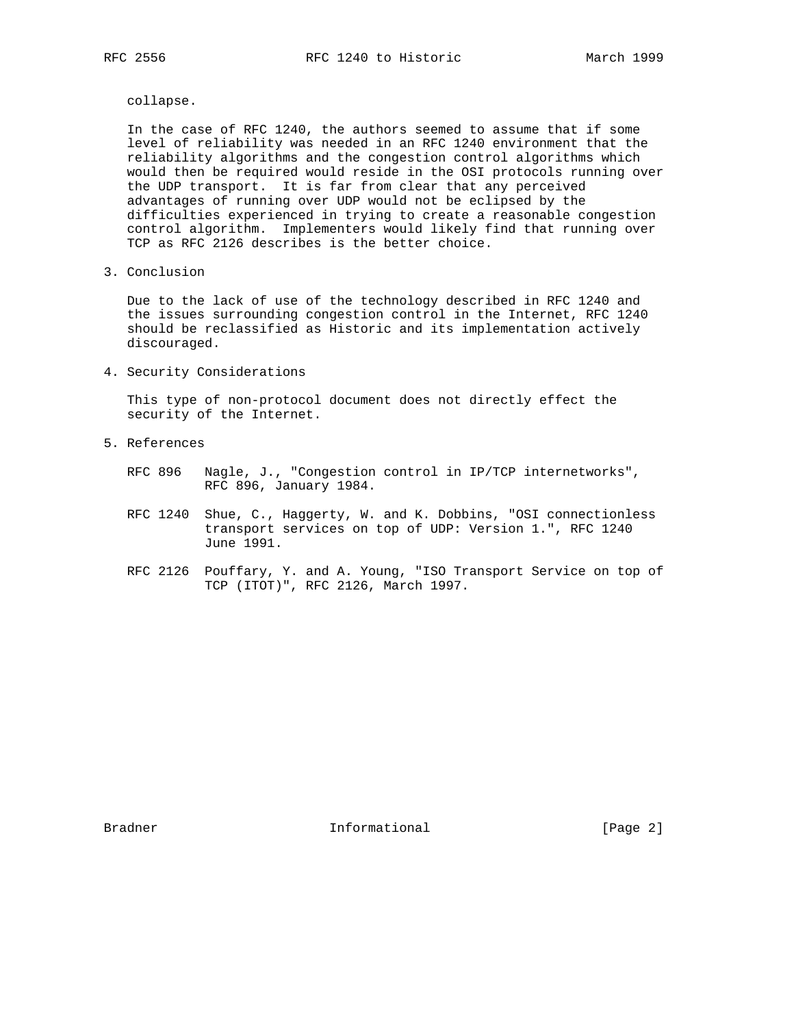collapse.

 In the case of RFC 1240, the authors seemed to assume that if some level of reliability was needed in an RFC 1240 environment that the reliability algorithms and the congestion control algorithms which would then be required would reside in the OSI protocols running over the UDP transport. It is far from clear that any perceived advantages of running over UDP would not be eclipsed by the difficulties experienced in trying to create a reasonable congestion control algorithm. Implementers would likely find that running over TCP as RFC 2126 describes is the better choice.

3. Conclusion

 Due to the lack of use of the technology described in RFC 1240 and the issues surrounding congestion control in the Internet, RFC 1240 should be reclassified as Historic and its implementation actively discouraged.

4. Security Considerations

 This type of non-protocol document does not directly effect the security of the Internet.

- 5. References
	- RFC 896 Nagle, J., "Congestion control in IP/TCP internetworks", RFC 896, January 1984.
	- RFC 1240 Shue, C., Haggerty, W. and K. Dobbins, "OSI connectionless transport services on top of UDP: Version 1.", RFC 1240 June 1991.
	- RFC 2126 Pouffary, Y. and A. Young, "ISO Transport Service on top of TCP (ITOT)", RFC 2126, March 1997.

Bradner 11 Informational 1996 [Page 2]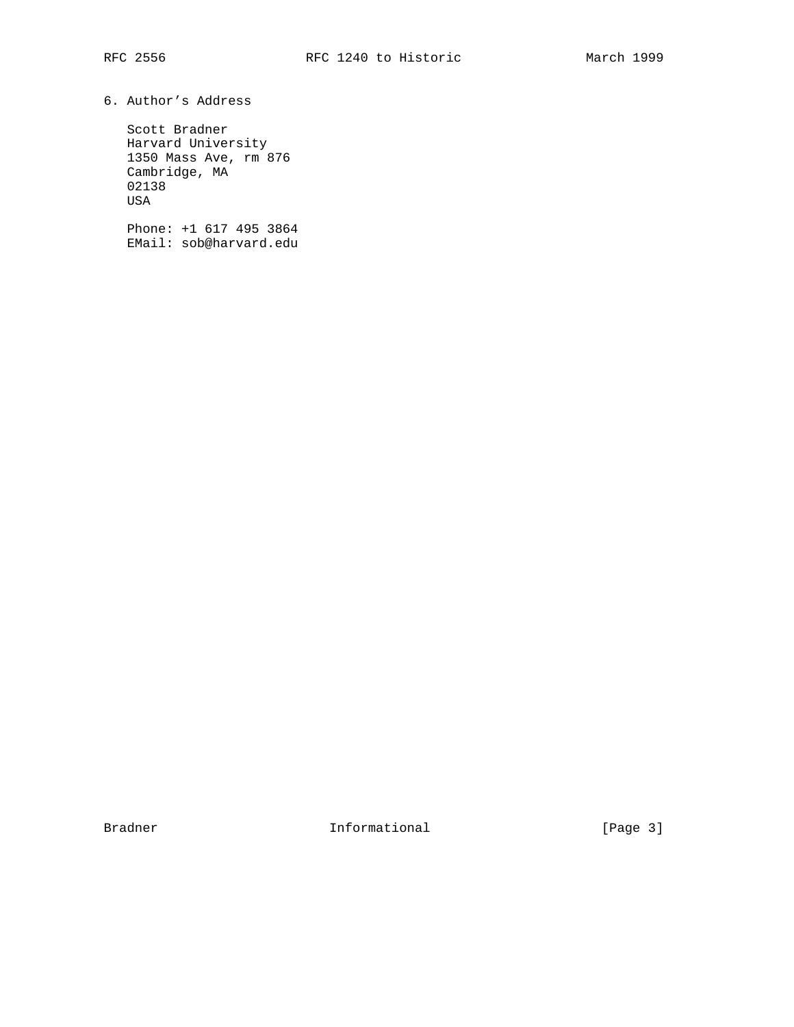## 6. Author's Address

 Scott Bradner Harvard University 1350 Mass Ave, rm 876 Cambridge, MA 02138 USA

 Phone: +1 617 495 3864 EMail: sob@harvard.edu

Bradner Informational [Page 3]